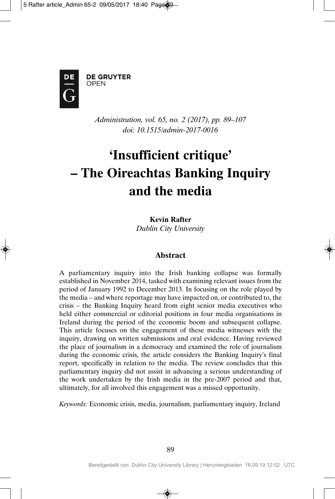

**DE GRUYTER** OPEN

> *Administration, vol. 65, no. 2 (2017), pp. 89–107 doi: 10.1515/admin-2017-0016*

# **'Insufficient critique' – The Oireachtas Banking Inquiry and the media**

## **Kevin Rafter**

*Dublin City University*

## **Abstract**

A parliamentary inquiry into the Irish banking collapse was formally established in November 2014, tasked with examining relevant issues from the period of January 1992 to December 2013. In focusing on the role played by the media – and where reportage may have impacted on, or contributed to, the crisis – the Banking Inquiry heard from eight senior media executives who held either commercial or editorial positions in four media organisations in Ireland during the period of the economic boom and subsequent collapse. This article focuses on the engagement of these media witnesses with the inquiry, drawing on written submissions and oral evidence. Having reviewed the place of journalism in a democracy and examined the role of journalism during the economic crisis, the article considers the Banking Inquiry's final report, specifically in relation to the media. The review concludes that this parliamentary inquiry did not assist in advancing a serious understanding of the work undertaken by the Irish media in the pre-2007 period and that, ultimately, for all involved this engagement was a missed opportunity.

*Keywords:* Economic crisis, media, journalism, parliamentary inquiry, Ireland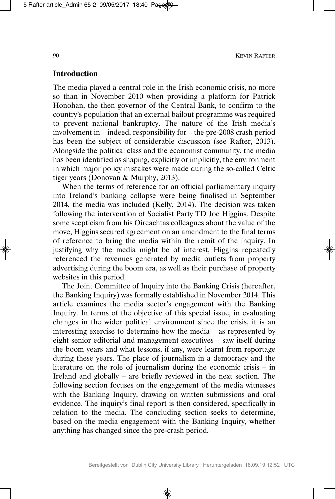#### **Introduction**

The media played a central role in the Irish economic crisis, no more so than in November 2010 when providing a platform for Patrick Honohan, the then governor of the Central Bank, to confirm to the country's population that an external bailout programme was required to prevent national bankruptcy. The nature of the Irish media's involvement in – indeed, responsibility for – the pre-2008 crash period has been the subject of considerable discussion (see Rafter, 2013). Alongside the political class and the economist community, the media has been identified as shaping, explicitly or implicitly, the environment in which major policy mistakes were made during the so-called Celtic tiger years (Donovan & Murphy, 2013).

When the terms of reference for an official parliamentary inquiry into Ireland's banking collapse were being finalised in September 2014, the media was included (Kelly, 2014). The decision was taken following the intervention of Socialist Party TD Joe Higgins. Despite some scepticism from his Oireachtas colleagues about the value of the move, Higgins secured agreement on an amendment to the final terms of reference to bring the media within the remit of the inquiry. In justifying why the media might be of interest, Higgins repeatedly referenced the revenues generated by media outlets from property advertising during the boom era, as well as their purchase of property websites in this period.

The Joint Committee of Inquiry into the Banking Crisis (hereafter, the Banking Inquiry) was formally established in November 2014. This article examines the media sector's engagement with the Banking Inquiry. In terms of the objective of this special issue, in evaluating changes in the wider political environment since the crisis, it is an interesting exercise to determine how the media – as represented by eight senior editorial and management executives – saw itself during the boom years and what lessons, if any, were learnt from reportage during these years. The place of journalism in a democracy and the literature on the role of journalism during the economic crisis – in Ireland and globally – are briefly reviewed in the next section. The following section focuses on the engagement of the media witnesses with the Banking Inquiry, drawing on written submissions and oral evidence. The inquiry's final report is then considered, specifically in relation to the media. The concluding section seeks to determine, based on the media engagement with the Banking Inquiry, whether anything has changed since the pre-crash period.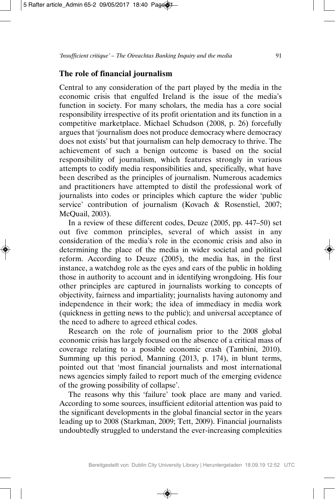## **The role of financial journalism**

Central to any consideration of the part played by the media in the economic crisis that engulfed Ireland is the issue of the media's function in society. For many scholars, the media has a core social responsibility irrespective of its profit orientation and its function in a competitive marketplace. Michael Schudson (2008, p. 26) forcefully argues that 'journalism does not produce democracy where democracy does not exists' but that journalism can help democracy to thrive. The achievement of such a benign outcome is based on the social responsibility of journalism, which features strongly in various attempts to codify media responsibilities and, specifically, what have been described as the principles of journalism. Numerous academics and practitioners have attempted to distil the professional work of journalists into codes or principles which capture the wider 'public service' contribution of journalism (Kovach & Rosenstiel, 2007; McQuail, 2003).

In a review of these different codes, Deuze (2005, pp. 447–50) set out five common principles, several of which assist in any consideration of the media's role in the economic crisis and also in determining the place of the media in wider societal and political reform. According to Deuze (2005), the media has, in the first instance, a watchdog role as the eyes and ears of the public in holding those in authority to account and in identifying wrongdoing. His four other principles are captured in journalists working to concepts of objectivity, fairness and impartiality; journalists having autonomy and independence in their work; the idea of immediacy in media work (quickness in getting news to the public); and universal acceptance of the need to adhere to agreed ethical codes.

Research on the role of journalism prior to the 2008 global economic crisis has largely focused on the absence of a critical mass of coverage relating to a possible economic crash (Tambini, 2010). Summing up this period, Manning (2013, p. 174), in blunt terms, pointed out that 'most financial journalists and most international news agencies simply failed to report much of the emerging evidence of the growing possibility of collapse'.

The reasons why this 'failure' took place are many and varied. According to some sources, insufficient editorial attention was paid to the significant developments in the global financial sector in the years leading up to 2008 (Starkman, 2009; Tett, 2009). Financial journalists undoubtedly struggled to understand the ever-increasing complexities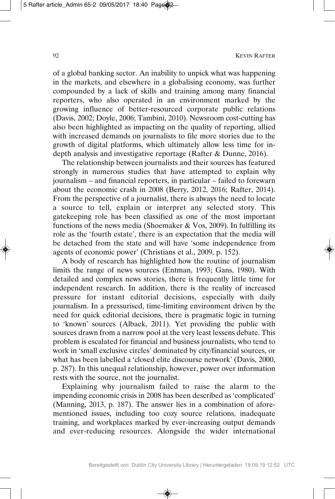of a global banking sector. An inability to unpick what was happening in the markets, and elsewhere in a globalising economy, was further compounded by a lack of skills and training among many financial reporters, who also operated in an environment marked by the growing influence of better-resourced corporate public relations (Davis, 2002; Doyle, 2006; Tambini, 2010). Newsroom cost-cutting has also been highlighted as impacting on the quality of reporting, allied with increased demands on journalists to file more stories due to the growth of digital platforms, which ultimately allow less time for indepth analysis and investigative reportage (Rafter & Dunne, 2016).

The relationship between journalists and their sources has featured strongly in numerous studies that have attempted to explain why journalism – and financial reporters, in particular – failed to forewarn about the economic crash in 2008 (Berry, 2012, 2016; Rafter, 2014). From the perspective of a journalist, there is always the need to locate a source to tell, explain or interpret any selected story. This gatekeeping role has been classified as one of the most important functions of the news media (Shoemaker & Vos, 2009). In fulfilling its role as the 'fourth estate', there is an expectation that the media will be detached from the state and will have 'some independence from agents of economic power' (Christians et al., 2009, p. 152).

A body of research has highlighted how the routine of journalism limits the range of news sources (Entman, 1993; Gans, 1980). With detailed and complex news stories, there is frequently little time for independent research. In addition, there is the reality of increased pressure for instant editorial decisions, especially with daily journalism. In a pressurised, time-limiting environment driven by the need for quick editorial decisions, there is pragmatic logic in turning to 'known' sources (Albaek, 2011). Yet providing the public with sources drawn from a narrow pool at the very least lessens debate. This problem is escalated for financial and business journalists, who tend to work in 'small exclusive circles' dominated by city/financial sources, or what has been labelled a 'closed elite discourse network' (Davis, 2000, p. 287). In this unequal relationship, however, power over information rests with the source, not the journalist.

Explaining why journalism failed to raise the alarm to the impending economic crisis in 2008 has been described as 'complicated' (Manning, 2013, p. 187). The answer lies in a combination of aforementioned issues, including too cozy source relations, inadequate training, and workplaces marked by ever-increasing output demands and ever-reducing resources. Alongside the wider international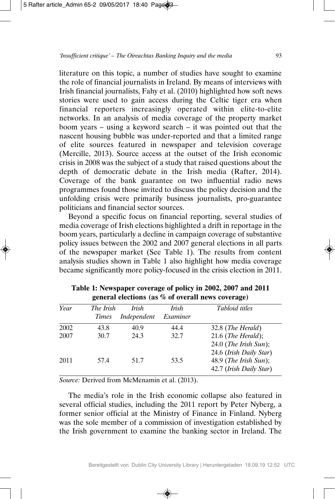literature on this topic, a number of studies have sought to examine the role of financial journalists in Ireland. By means of interviews with Irish financial journalists, Fahy et al. (2010) highlighted how soft news stories were used to gain access during the Celtic tiger era when financial reporters increasingly operated within elite-to-elite networks. In an analysis of media coverage of the property market boom years – using a keyword search – it was pointed out that the nascent housing bubble was under-reported and that a limited range of elite sources featured in newspaper and television coverage (Mercille, 2013). Source access at the outset of the Irish economic crisis in 2008 was the subject of a study that raised questions about the depth of democratic debate in the Irish media (Rafter, 2014). Coverage of the bank guarantee on two influential radio news programmes found those invited to discuss the policy decision and the unfolding crisis were primarily business journalists, pro-guarantee politicians and financial sector sources.

Beyond a specific focus on financial reporting, several studies of media coverage of Irish elections highlighted a drift in reportage in the boom years, particularly a decline in campaign coverage of substantive policy issues between the 2002 and 2007 general elections in all parts of the newspaper market (See Table 1). The results from content analysis studies shown in Table 1 also highlight how media coverage became significantly more policy-focused in the crisis election in 2011.

| Year | The Irish    | Irish       | Irish    | <i>Tabloid titles</i>                                                         |
|------|--------------|-------------|----------|-------------------------------------------------------------------------------|
|      | <i>Times</i> | Independent | Examiner |                                                                               |
| 2002 | 43.8         | 40.9        | 44.4     | 32.8 (The Herald)                                                             |
| 2007 | 30.7         | 24.3        | 32.7     | $21.6$ (The Herald);<br>$24.0$ (The Irish Sun);                               |
| 2011 | 57.4         | 51.7        | 53.5     | 24.6 (Irish Daily Star)<br>$48.9$ (The Irish Sun);<br>42.7 (Irish Daily Star) |

**Table 1: Newspaper coverage of policy in 2002, 2007 and 2011 general elections (as % of overall news coverage)**

*Source:* Derived from McMenamin et al. (2013).

The media's role in the Irish economic collapse also featured in several official studies, including the 2011 report by Peter Nyberg, a former senior official at the Ministry of Finance in Finland. Nyberg was the sole member of a commission of investigation established by the Irish government to examine the banking sector in Ireland. The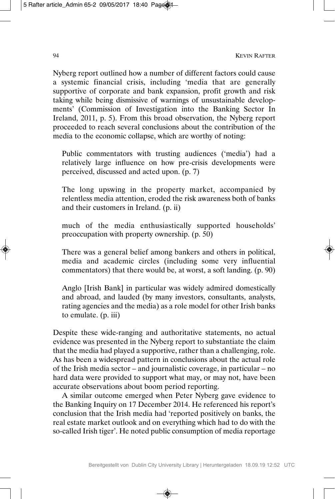Nyberg report outlined how a number of different factors could cause a systemic financial crisis, including 'media that are generally supportive of corporate and bank expansion, profit growth and risk taking while being dismissive of warnings of unsustainable developments' (Commission of Investigation into the Banking Sector In Ireland, 2011, p. 5). From this broad observation, the Nyberg report proceeded to reach several conclusions about the contribution of the media to the economic collapse, which are worthy of noting:

Public commentators with trusting audiences ('media') had a relatively large influence on how pre-crisis developments were perceived, discussed and acted upon. (p. 7)

The long upswing in the property market, accompanied by relentless media attention, eroded the risk awareness both of banks and their customers in Ireland. (p. ii)

much of the media enthusiastically supported households' preoccupation with property ownership. (p. 50)

There was a general belief among bankers and others in political, media and academic circles (including some very influential commentators) that there would be, at worst, a soft landing. (p. 90)

Anglo [Irish Bank] in particular was widely admired domestically and abroad, and lauded (by many investors, consultants, analysts, rating agencies and the media) as a role model for other Irish banks to emulate. (p. iii)

Despite these wide-ranging and authoritative statements, no actual evidence was presented in the Nyberg report to substantiate the claim that the media had played a supportive, rather than a challenging, role. As has been a widespread pattern in conclusions about the actual role of the Irish media sector – and journalistic coverage, in particular – no hard data were provided to support what may, or may not, have been accurate observations about boom period reporting.

A similar outcome emerged when Peter Nyberg gave evidence to the Banking Inquiry on 17 December 2014. He referenced his report's conclusion that the Irish media had 'reported positively on banks, the real estate market outlook and on everything which had to do with the so-called Irish tiger'. He noted public consumption of media reportage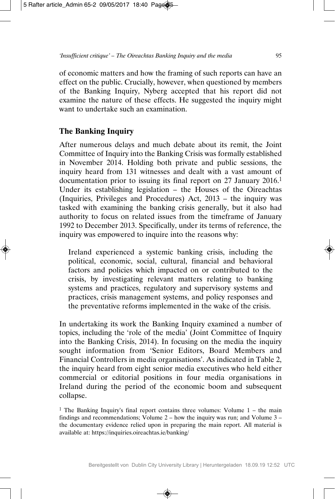of economic matters and how the framing of such reports can have an effect on the public. Crucially, however, when questioned by members of the Banking Inquiry, Nyberg accepted that his report did not examine the nature of these effects. He suggested the inquiry might want to undertake such an examination.

# **The Banking Inquiry**

After numerous delays and much debate about its remit, the Joint Committee of Inquiry into the Banking Crisis was formally established in November 2014. Holding both private and public sessions, the inquiry heard from 131 witnesses and dealt with a vast amount of documentation prior to issuing its final report on 27 January 2016.1 Under its establishing legislation – the Houses of the Oireachtas (Inquiries, Privileges and Procedures) Act, 2013 – the inquiry was tasked with examining the banking crisis generally, but it also had authority to focus on related issues from the timeframe of January 1992 to December 2013. Specifically, under its terms of reference, the inquiry was empowered to inquire into the reasons why:

Ireland experienced a systemic banking crisis, including the political, economic, social, cultural, financial and behavioral factors and policies which impacted on or contributed to the crisis, by investigating relevant matters relating to banking systems and practices, regulatory and supervisory systems and practices, crisis management systems, and policy responses and the preventative reforms implemented in the wake of the crisis.

In undertaking its work the Banking Inquiry examined a number of topics, including the 'role of the media' (Joint Committee of Inquiry into the Banking Crisis, 2014). In focusing on the media the inquiry sought information from 'Senior Editors, Board Members and Financial Controllers in media organisations'. As indicated in Table 2, the inquiry heard from eight senior media executives who held either commercial or editorial positions in four media organisations in Ireland during the period of the economic boom and subsequent collapse.

<sup>1</sup> The Banking Inquiry's final report contains three volumes: Volume  $1 -$  the main findings and recommendations; Volume 2 – how the inquiry was run; and Volume 3 – the documentary evidence relied upon in preparing the main report. All material is available at: https://inquiries.oireachtas.ie/banking/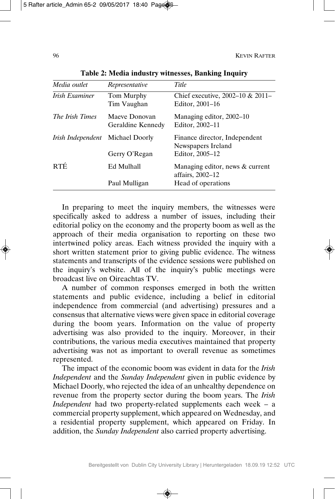| Media outlet           | Representative                     | Title                                               |
|------------------------|------------------------------------|-----------------------------------------------------|
| Irish Examiner         | Tom Murphy<br>Tim Vaughan          | Chief executive, 2002–10 & 2011–<br>Editor, 2001–16 |
| <i>The Irish Times</i> | Maeve Donovan<br>Geraldine Kennedy | Managing editor, 2002–10<br>Editor, 2002-11         |
| Irish Independent      | Michael Doorly                     | Finance director, Independent<br>Newspapers Ireland |
|                        | Gerry O'Regan                      | Editor, 2005–12                                     |
| <b>RTÉ</b>             | Ed Mulhall                         | Managing editor, news & current<br>affairs, 2002-12 |
|                        | Paul Mulligan                      | Head of operations                                  |

**Table 2: Media industry witnesses, Banking Inquiry**

In preparing to meet the inquiry members, the witnesses were specifically asked to address a number of issues, including their editorial policy on the economy and the property boom as well as the approach of their media organisation to reporting on these two intertwined policy areas. Each witness provided the inquiry with a short written statement prior to giving public evidence. The witness statements and transcripts of the evidence sessions were published on the inquiry's website. All of the inquiry's public meetings were broadcast live on Oireachtas TV.

A number of common responses emerged in both the written statements and public evidence, including a belief in editorial independence from commercial (and advertising) pressures and a consensus that alternative views were given space in editorial coverage during the boom years. Information on the value of property advertising was also provided to the inquiry. Moreover, in their contributions, the various media executives maintained that property advertising was not as important to overall revenue as sometimes represented.

The impact of the economic boom was evident in data for the *Irish Independent* and the *Sunday Independent* given in public evidence by Michael Doorly, who rejected the idea of an unhealthy dependence on revenue from the property sector during the boom years. The *Irish Independent* had two property-related supplements each week – a commercial property supplement, which appeared on Wednesday, and a residential property supplement, which appeared on Friday. In addition, the *Sunday Independent* also carried property advertising.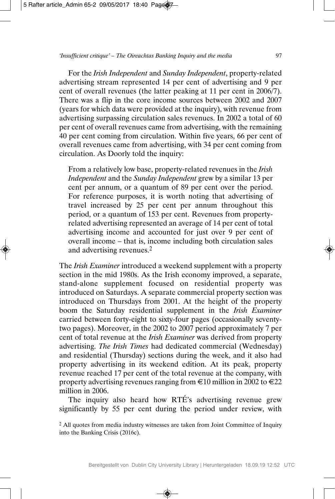For the *Irish Independent* and *Sunday Independent*, property-related advertising stream represented 14 per cent of advertising and 9 per cent of overall revenues (the latter peaking at 11 per cent in 2006/7). There was a flip in the core income sources between 2002 and 2007 (years for which data were provided at the inquiry), with revenue from advertising surpassing circulation sales revenues. In 2002 a total of 60 per cent of overall revenues came from advertising, with the remaining 40 per cent coming from circulation. Within five years, 66 per cent of overall revenues came from advertising, with 34 per cent coming from circulation. As Doorly told the inquiry:

From a relatively low base, property-related revenues in the *Irish Independent* and the *Sunday Independent* grew by a similar 13 per cent per annum, or a quantum of 89 per cent over the period. For reference purposes, it is worth noting that advertising of travel increased by 25 per cent per annum throughout this period, or a quantum of 153 per cent. Revenues from propertyrelated advertising represented an average of 14 per cent of total advertising income and accounted for just over 9 per cent of overall income – that is, income including both circulation sales and advertising revenues.2

The *Irish Examiner* introduced a weekend supplement with a property section in the mid 1980s. As the Irish economy improved, a separate, stand-alone supplement focused on residential property was introduced on Saturdays. A separate commercial property section was introduced on Thursdays from 2001. At the height of the property boom the Saturday residential supplement in the *Irish Examiner* carried between forty-eight to sixty-four pages (occasionally seventytwo pages). Moreover, in the 2002 to 2007 period approximately 7 per cent of total revenue at the *Irish Examiner* was derived from property advertising. *The Irish Times* had dedicated commercial (Wednesday) and residential (Thursday) sections during the week, and it also had property advertising in its weekend edition. At its peak, property revenue reached 17 per cent of the total revenue at the company, with property advertising revenues ranging from  $\text{\textsterling}10$  million in 2002 to  $\text{\textsterling}22$ million in 2006.

The inquiry also heard how RTÉ's advertising revenue grew significantly by 55 per cent during the period under review, with

<sup>2</sup> All quotes from media industry witnesses are taken from Joint Committee of Inquiry into the Banking Crisis (2016c).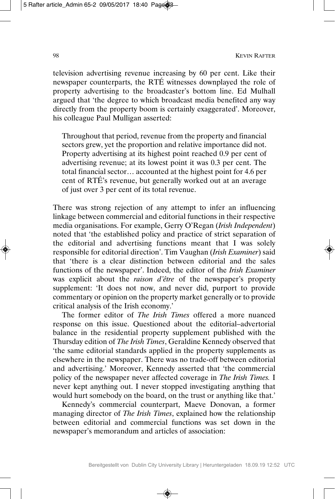television advertising revenue increasing by 60 per cent. Like their newspaper counterparts, the RTÉ witnesses downplayed the role of property advertising to the broadcaster's bottom line. Ed Mulhall argued that 'the degree to which broadcast media benefited any way directly from the property boom is certainly exaggerated'. Moreover, his colleague Paul Mulligan asserted:

Throughout that period, revenue from the property and financial sectors grew, yet the proportion and relative importance did not. Property advertising at its highest point reached 0.9 per cent of advertising revenue; at its lowest point it was 0.3 per cent. The total financial sector… accounted at the highest point for 4.6 per cent of RTÉ's revenue, but generally worked out at an average of just over 3 per cent of its total revenue.

There was strong rejection of any attempt to infer an influencing linkage between commercial and editorial functions in their respective media organisations. For example, Gerry O'Regan (*Irish Independent*) noted that 'the established policy and practice of strict separation of the editorial and advertising functions meant that I was solely responsible for editorial direction'. Tim Vaughan (*Irish Examiner*) said that 'there is a clear distinction between editorial and the sales functions of the newspaper'. Indeed, the editor of the *Irish Examiner* was explicit about the *raison d'être* of the newspaper's property supplement: 'It does not now, and never did, purport to provide commentary or opinion on the property market generally or to provide critical analysis of the Irish economy.'

The former editor of *The Irish Times* offered a more nuanced response on this issue. Questioned about the editorial–advertorial balance in the residential property supplement published with the Thursday edition of *The Irish Times*, Geraldine Kennedy observed that 'the same editorial standards applied in the property supplements as elsewhere in the newspaper. There was no trade-off between editorial and advertising.' Moreover, Kennedy asserted that 'the commercial policy of the newspaper never affected coverage in *The Irish Times.* I never kept anything out. I never stopped investigating anything that would hurt somebody on the board, on the trust or anything like that.'

Kennedy's commercial counterpart, Maeve Donovan, a former managing director of *The Irish Times*, explained how the relationship between editorial and commercial functions was set down in the newspaper's memorandum and articles of association: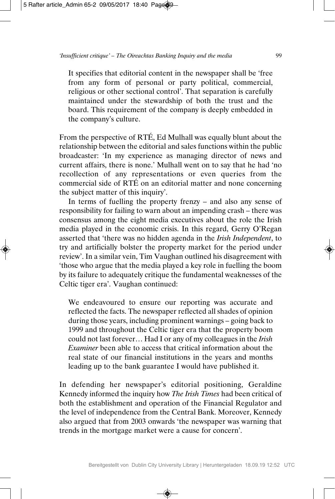It specifies that editorial content in the newspaper shall be 'free from any form of personal or party political, commercial, religious or other sectional control'. That separation is carefully maintained under the stewardship of both the trust and the board. This requirement of the company is deeply embedded in the company's culture.

From the perspective of RTÉ, Ed Mulhall was equally blunt about the relationship between the editorial and sales functions within the public broadcaster: 'In my experience as managing director of news and current affairs, there is none.' Mulhall went on to say that he had 'no recollection of any representations or even queries from the commercial side of RTÉ on an editorial matter and none concerning the subject matter of this inquiry'.

In terms of fuelling the property frenzy – and also any sense of responsibility for failing to warn about an impending crash – there was consensus among the eight media executives about the role the Irish media played in the economic crisis. In this regard, Gerry O'Regan asserted that 'there was no hidden agenda in the *Irish Independent*, to try and artificially bolster the property market for the period under review'. In a similar vein, Tim Vaughan outlined his disagreement with 'those who argue that the media played a key role in fuelling the boom by its failure to adequately critique the fundamental weaknesses of the Celtic tiger era'. Vaughan continued:

We endeavoured to ensure our reporting was accurate and reflected the facts. The newspaper reflected all shades of opinion during those years, including prominent warnings – going back to 1999 and throughout the Celtic tiger era that the property boom could not last forever… Had I or any of my colleagues in the *Irish Examiner* been able to access that critical information about the real state of our financial institutions in the years and months leading up to the bank guarantee I would have published it.

In defending her newspaper's editorial positioning, Geraldine Kennedy informed the inquiry how *The Irish Times* had been critical of both the establishment and operation of the Financial Regulator and the level of independence from the Central Bank. Moreover, Kennedy also argued that from 2003 onwards 'the newspaper was warning that trends in the mortgage market were a cause for concern'.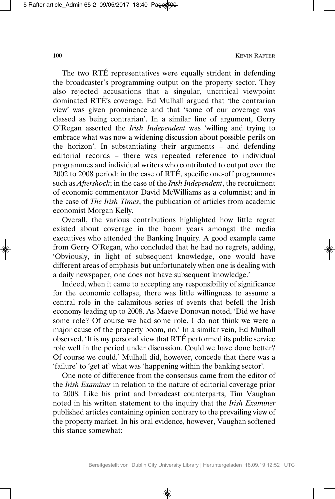The two RTÉ representatives were equally strident in defending the broadcaster's programming output on the property sector. They also rejected accusations that a singular, uncritical viewpoint dominated RTÉ's coverage. Ed Mulhall argued that 'the contrarian view' was given prominence and that 'some of our coverage was classed as being contrarian'. In a similar line of argument, Gerry O'Regan asserted the *Irish Independent* was 'willing and trying to embrace what was now a widening discussion about possible perils on the horizon'. In substantiating their arguments – and defending editorial records – there was repeated reference to individual programmes and individual writers who contributed to output over the 2002 to 2008 period: in the case of RTÉ, specific one-off programmes such as *Aftershock*; in the case of the *Irish Independent*, the recruitment of economic commentator David McWilliams as a columnist; and in the case of *The Irish Times*, the publication of articles from academic economist Morgan Kelly.

Overall, the various contributions highlighted how little regret existed about coverage in the boom years amongst the media executives who attended the Banking Inquiry. A good example came from Gerry O'Regan, who concluded that he had no regrets, adding, 'Obviously, in light of subsequent knowledge, one would have different areas of emphasis but unfortunately when one is dealing with a daily newspaper, one does not have subsequent knowledge.'

Indeed, when it came to accepting any responsibility of significance for the economic collapse, there was little willingness to assume a central role in the calamitous series of events that befell the Irish economy leading up to 2008. As Maeve Donovan noted, 'Did we have some role? Of course we had some role. I do not think we were a major cause of the property boom, no.' In a similar vein, Ed Mulhall observed, 'It is my personal view that RTÉ performed its public service role well in the period under discussion. Could we have done better? Of course we could.' Mulhall did, however, concede that there was a 'failure' to 'get at' what was 'happening within the banking sector'.

One note of difference from the consensus came from the editor of the *Irish Examiner* in relation to the nature of editorial coverage prior to 2008. Like his print and broadcast counterparts, Tim Vaughan noted in his written statement to the inquiry that the *Irish Examiner* published articles containing opinion contrary to the prevailing view of the property market. In his oral evidence, however, Vaughan softened this stance somewhat: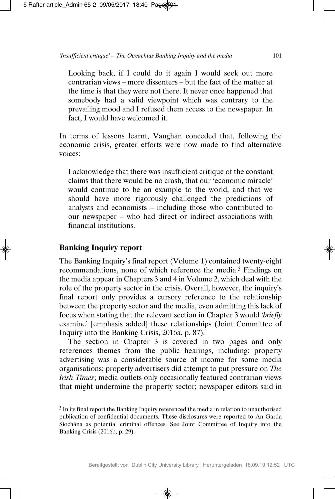Looking back, if I could do it again I would seek out more contrarian views – more dissenters – but the fact of the matter at the time is that they were not there. It never once happened that somebody had a valid viewpoint which was contrary to the prevailing mood and I refused them access to the newspaper. In fact, I would have welcomed it.

In terms of lessons learnt, Vaughan conceded that, following the economic crisis, greater efforts were now made to find alternative voices:

I acknowledge that there was insufficient critique of the constant claims that there would be no crash, that our 'economic miracle' would continue to be an example to the world, and that we should have more rigorously challenged the predictions of analysts and economists – including those who contributed to our newspaper – who had direct or indirect associations with financial institutions.

## **Banking Inquiry report**

The Banking Inquiry's final report (Volume 1) contained twenty-eight recommendations, none of which reference the media.3 Findings on the media appear in Chapters 3 and 4 in Volume 2, which deal with the role of the property sector in the crisis. Overall, however, the inquiry's final report only provides a cursory reference to the relationship between the property sector and the media, even admitting this lack of focus when stating that the relevant section in Chapter 3 would '*briefly* examine' [emphasis added] these relationships (Joint Committee of Inquiry into the Banking Crisis, 2016a, p. 87).

The section in Chapter 3 is covered in two pages and only references themes from the public hearings, including: property advertising was a considerable source of income for some media organisations; property advertisers did attempt to put pressure on *The Irish Times*; media outlets only occasionally featured contrarian views that might undermine the property sector; newspaper editors said in

<sup>3</sup> In its final report the Banking Inquiry referenced the media in relation to unauthorised publication of confidential documents. These disclosures were reported to An Garda Síochána as potential criminal offences. See Joint Committee of Inquiry into the Banking Crisis (2016b, p. 29).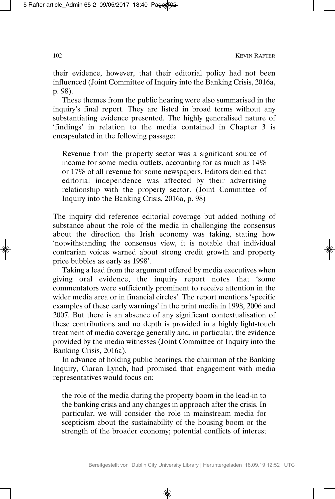their evidence, however, that their editorial policy had not been influenced (Joint Committee of Inquiry into the Banking Crisis, 2016a, p. 98).

These themes from the public hearing were also summarised in the inquiry's final report. They are listed in broad terms without any substantiating evidence presented. The highly generalised nature of 'findings' in relation to the media contained in Chapter 3 is encapsulated in the following passage:

Revenue from the property sector was a significant source of income for some media outlets, accounting for as much as 14% or 17% of all revenue for some newspapers. Editors denied that editorial independence was affected by their advertising relationship with the property sector. (Joint Committee of Inquiry into the Banking Crisis, 2016a, p. 98)

The inquiry did reference editorial coverage but added nothing of substance about the role of the media in challenging the consensus about the direction the Irish economy was taking, stating how 'notwithstanding the consensus view, it is notable that individual contrarian voices warned about strong credit growth and property price bubbles as early as 1998'.

Taking a lead from the argument offered by media executives when giving oral evidence, the inquiry report notes that 'some commentators were sufficiently prominent to receive attention in the wider media area or in financial circles'. The report mentions 'specific examples of these early warnings' in the print media in 1998, 2006 and 2007. But there is an absence of any significant contextualisation of these contributions and no depth is provided in a highly light-touch treatment of media coverage generally and, in particular, the evidence provided by the media witnesses (Joint Committee of Inquiry into the Banking Crisis, 2016a).

In advance of holding public hearings, the chairman of the Banking Inquiry, Ciaran Lynch, had promised that engagement with media representatives would focus on:

the role of the media during the property boom in the lead-in to the banking crisis and any changes in approach after the crisis. In particular, we will consider the role in mainstream media for scepticism about the sustainability of the housing boom or the strength of the broader economy; potential conflicts of interest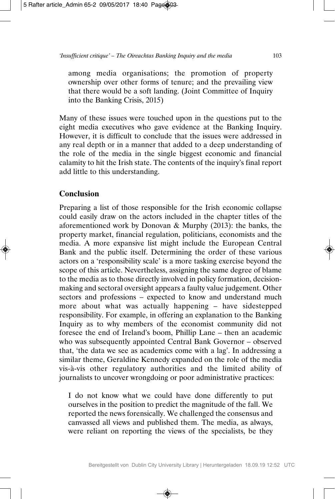among media organisations; the promotion of property ownership over other forms of tenure; and the prevailing view that there would be a soft landing. (Joint Committee of Inquiry into the Banking Crisis, 2015)

Many of these issues were touched upon in the questions put to the eight media executives who gave evidence at the Banking Inquiry. However, it is difficult to conclude that the issues were addressed in any real depth or in a manner that added to a deep understanding of the role of the media in the single biggest economic and financial calamity to hit the Irish state. The contents of the inquiry's final report add little to this understanding.

## **Conclusion**

Preparing a list of those responsible for the Irish economic collapse could easily draw on the actors included in the chapter titles of the aforementioned work by Donovan & Murphy (2013): the banks, the property market, financial regulation, politicians, economists and the media. A more expansive list might include the European Central Bank and the public itself. Determining the order of these various actors on a 'responsibility scale' is a more tasking exercise beyond the scope of this article. Nevertheless, assigning the same degree of blame to the media as to those directly involved in policy formation, decisionmaking and sectoral oversight appears a faulty value judgement. Other sectors and professions – expected to know and understand much more about what was actually happening – have sidestepped responsibility. For example, in offering an explanation to the Banking Inquiry as to why members of the economist community did not foresee the end of Ireland's boom, Phillip Lane – then an academic who was subsequently appointed Central Bank Governor – observed that, 'the data we see as academics come with a lag'. In addressing a similar theme, Geraldine Kennedy expanded on the role of the media vis-à-vis other regulatory authorities and the limited ability of journalists to uncover wrongdoing or poor administrative practices:

I do not know what we could have done differently to put ourselves in the position to predict the magnitude of the fall. We reported the news forensically. We challenged the consensus and canvassed all views and published them. The media, as always, were reliant on reporting the views of the specialists, be they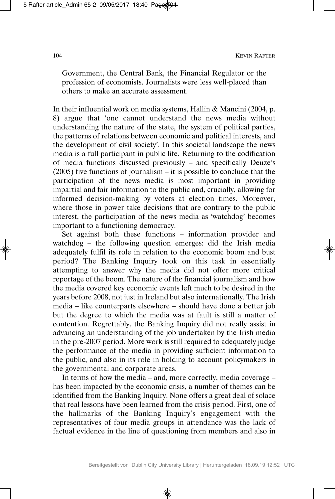Government, the Central Bank, the Financial Regulator or the profession of economists. Journalists were less well-placed than others to make an accurate assessment.

In their influential work on media systems, Hallin & Mancini (2004, p. 8) argue that 'one cannot understand the news media without understanding the nature of the state, the system of political parties, the patterns of relations between economic and political interests, and the development of civil society'. In this societal landscape the news media is a full participant in public life. Returning to the codification of media functions discussed previously – and specifically Deuze's (2005) five functions of journalism – it is possible to conclude that the participation of the news media is most important in providing impartial and fair information to the public and, crucially, allowing for informed decision-making by voters at election times. Moreover, where those in power take decisions that are contrary to the public interest, the participation of the news media as 'watchdog' becomes important to a functioning democracy.

Set against both these functions – information provider and watchdog – the following question emerges: did the Irish media adequately fulfil its role in relation to the economic boom and bust period? The Banking Inquiry took on this task in essentially attempting to answer why the media did not offer more critical reportage of the boom. The nature of the financial journalism and how the media covered key economic events left much to be desired in the years before 2008, not just in Ireland but also internationally. The Irish media – like counterparts elsewhere – should have done a better job but the degree to which the media was at fault is still a matter of contention. Regrettably, the Banking Inquiry did not really assist in advancing an understanding of the job undertaken by the Irish media in the pre-2007 period. More work is still required to adequately judge the performance of the media in providing sufficient information to the public, and also in its role in holding to account policymakers in the governmental and corporate areas.

In terms of how the media – and, more correctly, media coverage – has been impacted by the economic crisis, a number of themes can be identified from the Banking Inquiry. None offers a great deal of solace that real lessons have been learned from the crisis period. First, one of the hallmarks of the Banking Inquiry's engagement with the representatives of four media groups in attendance was the lack of factual evidence in the line of questioning from members and also in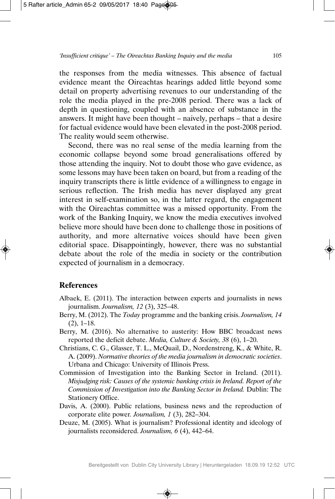the responses from the media witnesses. This absence of factual evidence meant the Oireachtas hearings added little beyond some detail on property advertising revenues to our understanding of the role the media played in the pre-2008 period. There was a lack of depth in questioning, coupled with an absence of substance in the answers. It might have been thought – naively, perhaps – that a desire for factual evidence would have been elevated in the post-2008 period. The reality would seem otherwise.

Second, there was no real sense of the media learning from the economic collapse beyond some broad generalisations offered by those attending the inquiry. Not to doubt those who gave evidence, as some lessons may have been taken on board, but from a reading of the inquiry transcripts there is little evidence of a willingness to engage in serious reflection. The Irish media has never displayed any great interest in self-examination so, in the latter regard, the engagement with the Oireachtas committee was a missed opportunity. From the work of the Banking Inquiry, we know the media executives involved believe more should have been done to challenge those in positions of authority, and more alternative voices should have been given editorial space. Disappointingly, however, there was no substantial debate about the role of the media in society or the contribution expected of journalism in a democracy.

#### **References**

- Albaek, E. (2011). The interaction between experts and journalists in news journalism. *Journalism, 12* (3), 325–48.
- Berry, M. (2012). The *Today* programme and the banking crisis. *Journalism, 14* (2), 1–18.
- Berry, M. (2016). No alternative to austerity: How BBC broadcast news reported the deficit debate. *Media, Culture & Society, 38* (6), 1–20.
- Christians, C. G., Glasser, T. L., McQuail, D., Nordenstreng, K., & White, R. A. (2009). *Normative theories of the media journalism in democratic societies*. Urbana and Chicago: University of Illinois Press.
- Commission of Investigation into the Banking Sector in Ireland. (2011). *Misjudging risk: Causes of the systemic banking crisis in Ireland. Report of the Commission of Investigation into the Banking Sector in Ireland.* Dublin: The Stationery Office.
- Davis, A. (2000). Public relations, business news and the reproduction of corporate elite power*. Journalism, 1* (3), 282–304.
- Deuze, M. (2005). What is journalism? Professional identity and ideology of journalists reconsidered. *Journalism, 6* (4), 442–64.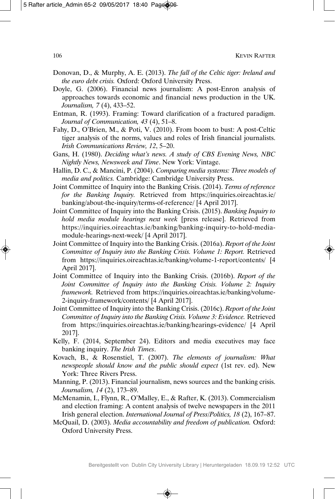- Donovan, D., & Murphy, A. E. (2013). *The fall of the Celtic tiger: Ireland and the euro debt crisis.* Oxford: Oxford University Press.
- Doyle, G. (2006). Financial news journalism: A post-Enron analysis of approaches towards economic and financial news production in the UK. *Journalism, 7* (4), 433–52.
- Entman, R. (1993). Framing: Toward clarification of a fractured paradigm. *Journal of Communication, 43* (4), 51–8.
- Fahy, D., O'Brien, M., & Poti, V. (2010). From boom to bust: A post-Celtic tiger analysis of the norms, values and roles of Irish financial journalists. *Irish Communications Review, 12*, 5–20.
- Gans, H. (1980). *Deciding what's news. A study of CBS Evening News, NBC Nightly News, Newsweek and Time*. New York: Vintage.
- Hallin, D. C., & Mancini, P. (2004). *Comparing media systems: Three models of media and politics.* Cambridge: Cambridge University Press.
- Joint Committee of Inquiry into the Banking Crisis. (2014). *Terms of reference for the Banking Inquiry.* Retrieved from https://inquiries.oireachtas.ie/ banking/about-the-inquiry/terms-of-reference/ [4 April 2017].
- Joint Committee of Inquiry into the Banking Crisis. (2015). *Banking Inquiry to hold media module hearings next week* [press release]. Retrieved from https://inquiries.oireachtas.ie/banking/banking-inquiry-to-hold-mediamodule-hearings-next-week/ [4 April 2017].
- Joint Committee of Inquiry into the Banking Crisis. (2016a). *Report of the Joint Committee of Inquiry into the Banking Crisis. Volume 1: Report.* Retrieved from https://inquiries.oireachtas.ie/banking/volume-1-report/contents/ [4 April 2017].
- Joint Committee of Inquiry into the Banking Crisis. (2016b). *Report of the Joint Committee of Inquiry into the Banking Crisis. Volume 2: Inquiry framework.* Retrieved from https://inquiries.oireachtas.ie/banking/volume-2-inquiry-framework/contents/ [4 April 2017].
- Joint Committee of Inquiry into the Banking Crisis. (2016c). *Report of the Joint Committee of Inquiry into the Banking Crisis. Volume 3: Evidence.* Retrieved from https://inquiries.oireachtas.ie/banking/hearings-evidence/ [4 April 2017].
- Kelly, F. (2014, September 24). Editors and media executives may face banking inquiry. *The Irish Times*.
- Kovach, B., & Rosenstiel, T. (2007). *The elements of journalism: What newspeople should know and the public should expect* (1st rev. ed). New York: Three Rivers Press.
- Manning, P. (2013). Financial journalism, news sources and the banking crisis. *Journalism, 14* (2), 173–89.
- McMenamin, I., Flynn, R., O'Malley, E., & Rafter, K. (2013). Commercialism and election framing: A content analysis of twelve newspapers in the 2011 Irish general election. *International Journal of Press/Politics, 18* (2), 167–87.
- McQuail, D. (2003). *Media accountability and freedom of publication.* Oxford: Oxford University Press.